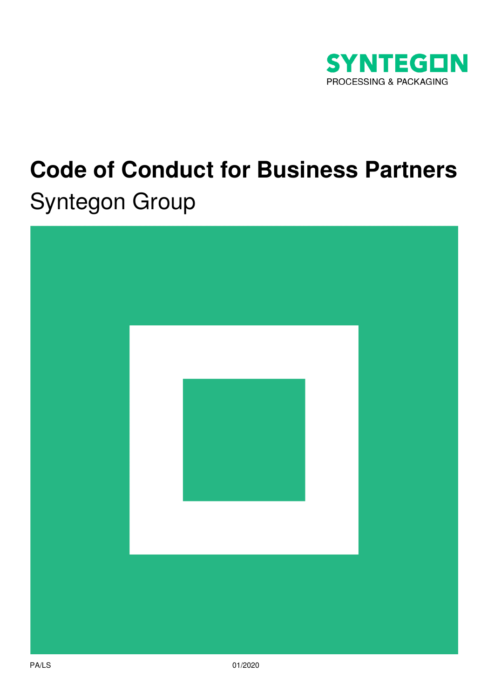

# **Code of Conduct for Business Partners** Syntegon Group

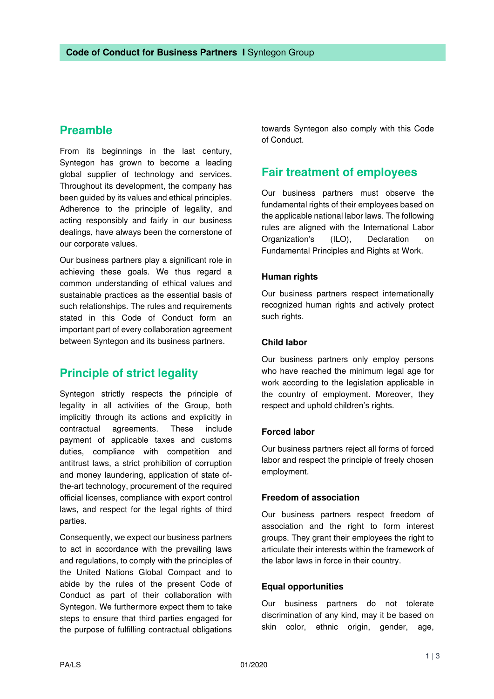# **Preamble**

From its beginnings in the last century, Syntegon has grown to become a leading global supplier of technology and services. Throughout its development, the company has been guided by its values and ethical principles. Adherence to the principle of legality, and acting responsibly and fairly in our business dealings, have always been the cornerstone of our corporate values.

Our business partners play a significant role in achieving these goals. We thus regard a common understanding of ethical values and sustainable practices as the essential basis of such relationships. The rules and requirements stated in this Code of Conduct form an important part of every collaboration agreement between Syntegon and its business partners.

# **Principle of strict legality**

Syntegon strictly respects the principle of legality in all activities of the Group, both implicitly through its actions and explicitly in contractual agreements. These include payment of applicable taxes and customs duties, compliance with competition and antitrust laws, a strict prohibition of corruption and money laundering, application of state ofthe-art technology, procurement of the required official licenses, compliance with export control laws, and respect for the legal rights of third parties.

Consequently, we expect our business partners to act in accordance with the prevailing laws and regulations, to comply with the principles of the United Nations Global Compact and to abide by the rules of the present Code of Conduct as part of their collaboration with Syntegon. We furthermore expect them to take steps to ensure that third parties engaged for the purpose of fulfilling contractual obligations

towards Syntegon also comply with this Code of Conduct.

## **Fair treatment of employees**

Our business partners must observe the fundamental rights of their employees based on the applicable national labor laws. The following rules are aligned with the International Labor Organization's (ILO), Declaration on Fundamental Principles and Rights at Work.

## **Human rights**

Our business partners respect internationally recognized human rights and actively protect such rights.

## **Child labor**

Our business partners only employ persons who have reached the minimum legal age for work according to the legislation applicable in the country of employment. Moreover, they respect and uphold children's rights.

## **Forced labor**

Our business partners reject all forms of forced labor and respect the principle of freely chosen employment.

## **Freedom of association**

Our business partners respect freedom of association and the right to form interest groups. They grant their employees the right to articulate their interests within the framework of the labor laws in force in their country.

#### **Equal opportunities**

Our business partners do not tolerate discrimination of any kind, may it be based on skin color, ethnic origin, gender, age,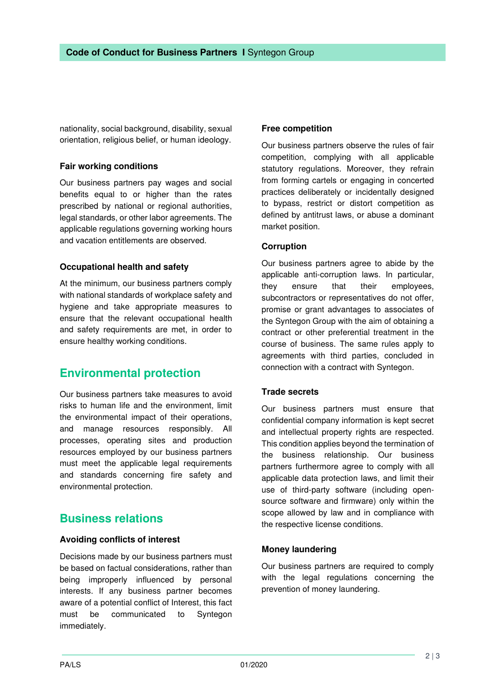nationality, social background, disability, sexual orientation, religious belief, or human ideology.

## **Fair working conditions**

Our business partners pay wages and social benefits equal to or higher than the rates prescribed by national or regional authorities, legal standards, or other labor agreements. The applicable regulations governing working hours and vacation entitlements are observed.

## **Occupational health and safety**

At the minimum, our business partners comply with national standards of workplace safety and hygiene and take appropriate measures to ensure that the relevant occupational health and safety requirements are met, in order to ensure healthy working conditions.

## **Environmental protection**

Our business partners take measures to avoid risks to human life and the environment, limit the environmental impact of their operations, and manage resources responsibly. All processes, operating sites and production resources employed by our business partners must meet the applicable legal requirements and standards concerning fire safety and environmental protection.

## **Business relations**

## **Avoiding conflicts of interest**

Decisions made by our business partners must be based on factual considerations, rather than being improperly influenced by personal interests. If any business partner becomes aware of a potential conflict of Interest, this fact must be communicated to Syntegon immediately.

## **Free competition**

Our business partners observe the rules of fair competition, complying with all applicable statutory regulations. Moreover, they refrain from forming cartels or engaging in concerted practices deliberately or incidentally designed to bypass, restrict or distort competition as defined by antitrust laws, or abuse a dominant market position.

## **Corruption**

Our business partners agree to abide by the applicable anti-corruption laws. In particular, they ensure that their employees, subcontractors or representatives do not offer, promise or grant advantages to associates of the Syntegon Group with the aim of obtaining a contract or other preferential treatment in the course of business. The same rules apply to agreements with third parties, concluded in connection with a contract with Syntegon.

## **Trade secrets**

Our business partners must ensure that confidential company information is kept secret and intellectual property rights are respected. This condition applies beyond the termination of the business relationship. Our business partners furthermore agree to comply with all applicable data protection laws, and limit their use of third-party software (including opensource software and firmware) only within the scope allowed by law and in compliance with the respective license conditions.

## **Money laundering**

Our business partners are required to comply with the legal regulations concerning the prevention of money laundering.